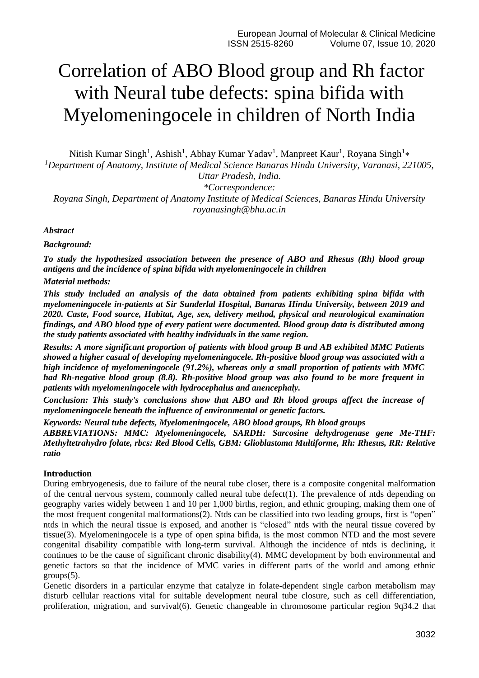# Correlation of ABO Blood group and Rh factor with Neural tube defects: spina bifida with Myelomeningocele in children of North India

Nitish Kumar Singh<sup>1</sup>, Ashish<sup>1</sup>, Abhay Kumar Yadav<sup>1</sup>, Manpreet Kaur<sup>1</sup>, Royana Singh<sup>1</sup>\* *<sup>1</sup>Department of Anatomy, Institute of Medical Science Banaras Hindu University, Varanasi, 221005, Uttar Pradesh, India.*

*\*Correspondence:*

*Royana Singh, Department of Anatomy Institute of Medical Sciences, Banaras Hindu University royanasingh@bhu.ac.in*

# *Abstract*

*Background:*

*To study the hypothesized association between the presence of ABO and Rhesus (Rh) blood group antigens and the incidence of spina bifida with myelomeningocele in children Material methods:* 

*This study included an analysis of the data obtained from patients exhibiting spina bifida with myelomeningocele in-patients at Sir Sunderlal Hospital, Banaras Hindu University, between 2019 and 2020. Caste, Food source, Habitat, Age, sex, delivery method, physical and neurological examination findings, and ABO blood type of every patient were documented. Blood group data is distributed among the study patients associated with healthy individuals in the same region.*

*Results: A more significant proportion of patients with blood group B and AB exhibited MMC Patients showed a higher casual of developing myelomeningocele. Rh-positive blood group was associated with a high incidence of myelomeningocele (91.2%), whereas only a small proportion of patients with MMC had Rh-negative blood group (8.8). Rh-positive blood group was also found to be more frequent in patients with myelomeningocele with hydrocephalus and anencephaly.*

*Conclusion: This study's conclusions show that ABO and Rh blood groups affect the increase of myelomeningocele beneath the influence of environmental or genetic factors.*

*Keywords: Neural tube defects, Myelomeningocele, ABO blood groups, Rh blood groups*

*ABBREVIATIONS: MMC: Myelomeningocele, SARDH: Sarcosine dehydrogenase gene Me-THF: Methyltetrahydro folate, rbcs: Red Blood Cells, GBM: Glioblastoma Multiforme, Rh: Rhesus, RR: Relative ratio*

# **Introduction**

During embryogenesis, due to failure of the neural tube closer, there is a composite congenital malformation of the central nervous system, commonly called neural tube defect(1). The prevalence of ntds depending on geography varies widely between 1 and 10 per 1,000 births, region, and ethnic grouping, making them one of the most frequent congenital malformations(2). Ntds can be classified into two leading groups, first is "open" ntds in which the neural tissue is exposed, and another is "closed" ntds with the neural tissue covered by tissue(3). Myelomeningocele is a type of open spina bifida, is the most common NTD and the most severe congenital disability compatible with long-term survival. Although the incidence of ntds is declining, it continues to be the cause of significant chronic disability(4). MMC development by both environmental and genetic factors so that the incidence of MMC varies in different parts of the world and among ethnic groups(5).

Genetic disorders in a particular enzyme that catalyze in folate-dependent single carbon metabolism may disturb cellular reactions vital for suitable development neural tube closure, such as cell differentiation, proliferation, migration, and survival(6). Genetic changeable in chromosome particular region 9q34.2 that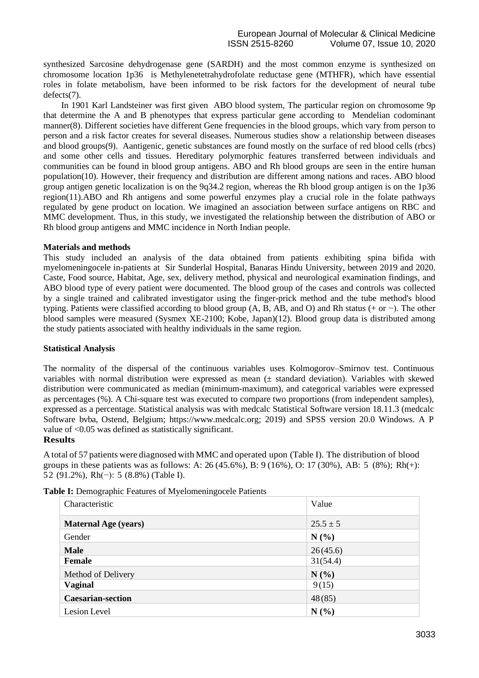synthesized Sarcosine dehydrogenase gene (SARDH) and the most common enzyme is synthesized on chromosome location 1p36 is Methylenetetrahydrofolate reductase gene (MTHFR), which have essential roles in folate metabolism, have been informed to be risk factors for the development of neural tube defects(7).

 In 1901 Karl Landsteiner was first given ABO blood system, The particular region on chromosome 9p that determine the A and B phenotypes that express particular gene according to Mendelian codominant manner(8). Different societies have different Gene frequencies in the blood groups, which vary from person to person and a risk factor creates for several diseases. Numerous studies show a relationship between diseases and blood groups(9). Aantigenic, genetic substances are found mostly on the surface of red blood cells (rbcs) and some other cells and tissues. Hereditary polymorphic features transferred between individuals and communities can be found in blood group antigens. ABO and Rh blood groups are seen in the entire human population(10). However, their frequency and distribution are different among nations and races. ABO blood group antigen genetic localization is on the 9q34.2 region, whereas the Rh blood group antigen is on the 1p36 region(11).ABO and Rh antigens and some powerful enzymes play a crucial role in the folate pathways regulated by gene product on location. We imagined an association between surface antigens on RBC and MMC development. Thus, in this study, we investigated the relationship between the distribution of ABO or Rh blood group antigens and MMC incidence in North Indian people.

## **Materials and methods**

This study included an analysis of the data obtained from patients exhibiting spina bifida with myelomeningocele in-patients at Sir Sunderlal Hospital, Banaras Hindu University, between 2019 and 2020. Caste, Food source, Habitat, Age, sex, delivery method, physical and neurological examination findings, and ABO blood type of every patient were documented. The blood group of the cases and controls was collected by a single trained and calibrated investigator using the finger-prick method and the tube method's blood typing. Patients were classified according to blood group (A, B, AB, and O) and Rh status (+ or −). The other blood samples were measured (Sysmex XE-2100; Kobe, Japan)(12). Blood group data is distributed among the study patients associated with healthy individuals in the same region.

#### **Statistical Analysis**

The normality of the dispersal of the continuous variables uses Kolmogorov–Smirnov test. Continuous variables with normal distribution were expressed as mean  $(\pm$  standard deviation). Variables with skewed distribution were communicated as median (minimum-maximum), and categorical variables were expressed as percentages (%). A Chi-square test was executed to compare two proportions (from independent samples), expressed as a percentage. Statistical analysis was with medcalc Statistical Software version 18.11.3 (medcalc Software bvba, Ostend, Belgium; https://www.medcalc.org; 2019) and SPSS version 20.0 Windows. A P value of <0.05 was defined as statistically significant.

# **Results**

A total of 57 patients were diagnosed with MMC and operated upon (Table I). The distribution of blood groups in these patients was as follows: A:  $26 (45.6\%)$ , B:  $9 (16\%)$ , O: 17 (30%), AB: 5 (8%); Rh(+): 52 (91.2%), Rh(−): 5 (8.8%) (Table I).

| Characteristic              | Value        |
|-----------------------------|--------------|
| <b>Maternal Age (years)</b> | $25.5 \pm 5$ |
| Gender                      | N(%          |
| <b>Male</b>                 | 26(45.6)     |
| Female                      | 31(54.4)     |
| Method of Delivery          | N(%          |
| <b>Vaginal</b>              | 9(15)        |
| <b>Caesarian-section</b>    | 48(85)       |
| Lesion Level                | N(%)         |

**Table I:** Demographic Features of Myelomeningocele Patients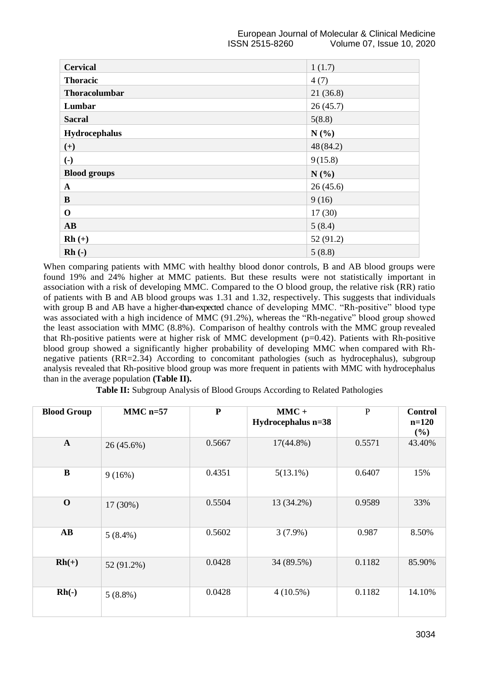| <b>Cervical</b>        | 1(1.7)    |  |  |
|------------------------|-----------|--|--|
| <b>Thoracic</b>        | 4(7)      |  |  |
| Thoracolumbar          | 21(36.8)  |  |  |
| Lumbar                 | 26(45.7)  |  |  |
| <b>Sacral</b>          | 5(8.8)    |  |  |
| Hydrocephalus          | N(%       |  |  |
| $(+)$                  | 48(84.2)  |  |  |
| $\left( \cdot \right)$ | 9(15.8)   |  |  |
| <b>Blood groups</b>    | N(%)      |  |  |
| $\mathbf{A}$           | 26(45.6)  |  |  |
| B                      | 9(16)     |  |  |
| $\mathbf 0$            | 17(30)    |  |  |
| AB                     | 5(8.4)    |  |  |
| $Rh (+)$               | 52 (91.2) |  |  |
| $Rh(-)$                | 5(8.8)    |  |  |

When comparing patients with MMC with healthy blood donor controls, B and AB blood groups were found 19% and 24% higher at MMC patients. But these results were not statistically important in association with a risk of developing MMC. Compared to the O blood group, the relative risk (RR) ratio of patients with B and AB blood groups was 1.31 and 1.32, respectively. This suggests that individuals with group B and AB have a higher-than-expected chance of developing MMC. "Rh-positive" blood type was associated with a high incidence of MMC (91.2%), whereas the "Rh-negative" blood group showed the least association with MMC (8.8%). Comparison of healthy controls with the MMC group revealed that Rh-positive patients were at higher risk of MMC development (p=0.42). Patients with Rh-positive blood group showed a significantly higher probability of developing MMC when compared with Rhnegative patients (RR=2.34) According to concomitant pathologies (such as hydrocephalus), subgroup analysis revealed that Rh-positive blood group was more frequent in patients with MMC with hydrocephalus than in the average population **(Table II).**

**Table II:** Subgroup Analysis of Blood Groups According to Related Pathologies

| <b>Blood Group</b>     | $MMC$ n=57 | ${\bf P}$ | $MMC +$<br>Hydrocephalus n=38 | $\mathbf{P}$ | <b>Control</b><br>$n=120$<br>(%) |
|------------------------|------------|-----------|-------------------------------|--------------|----------------------------------|
| $\mathbf{A}$           | 26 (45.6%) | 0.5667    | $17(44.8\%)$                  | 0.5571       | 43.40%                           |
| B                      | 9(16%)     | 0.4351    | $5(13.1\%)$                   | 0.6407       | 15%                              |
| $\mathbf 0$            | 17 (30%)   | 0.5504    | 13 (34.2%)                    | 0.9589       | 33%                              |
| $\mathbf{A}\mathbf{B}$ | $5(8.4\%)$ | 0.5602    | $3(7.9\%)$                    | 0.987        | 8.50%                            |
| $Rh(+)$                | 52 (91.2%) | 0.0428    | 34 (89.5%)                    | 0.1182       | 85.90%                           |
| $Rh(-)$                | $5(8.8\%)$ | 0.0428    | $4(10.5\%)$                   | 0.1182       | 14.10%                           |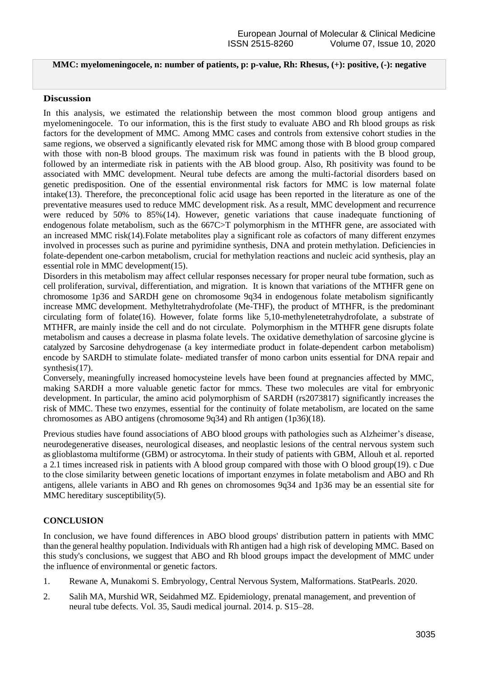## **MMC: myelomeningocele, n: number of patients, p: p-value, Rh: Rhesus, (+): positive, (-): negative**

#### **Discussion**

In this analysis, we estimated the relationship between the most common blood group antigens and myelomeningocele. To our information, this is the first study to evaluate ABO and Rh blood groups as risk factors for the development of MMC. Among MMC cases and controls from extensive cohort studies in the same regions, we observed a significantly elevated risk for MMC among those with B blood group compared with those with non-B blood groups. The maximum risk was found in patients with the B blood group, followed by an intermediate risk in patients with the AB blood group. Also, Rh positivity was found to be associated with MMC development. Neural tube defects are among the multi-factorial disorders based on genetic predisposition. One of the essential environmental risk factors for MMC is low maternal folate intake(13). Therefore, the preconceptional folic acid usage has been reported in the literature as one of the preventative measures used to reduce MMC development risk. As a result, MMC development and recurrence were reduced by 50% to 85%(14). However, genetic variations that cause inadequate functioning of endogenous folate metabolism, such as the 667C>T polymorphism in the MTHFR gene, are associated with an increased MMC risk(14).Folate metabolites play a significant role as cofactors of many different enzymes involved in processes such as purine and pyrimidine synthesis, DNA and protein methylation. Deficiencies in folate-dependent one-carbon metabolism, crucial for methylation reactions and nucleic acid synthesis, play an essential role in MMC development(15).

Disorders in this metabolism may affect cellular responses necessary for proper neural tube formation, such as cell proliferation, survival, differentiation, and migration. It is known that variations of the MTHFR gene on chromosome 1p36 and SARDH gene on chromosome 9q34 in endogenous folate metabolism significantly increase MMC development. Methyltetrahydrofolate (Me-THF), the product of MTHFR, is the predominant circulating form of folate(16). However, folate forms like 5,10-methylenetetrahydrofolate, a substrate of MTHFR, are mainly inside the cell and do not circulate. Polymorphism in the MTHFR gene disrupts folate metabolism and causes a decrease in plasma folate levels. The oxidative demethylation of sarcosine glycine is catalyzed by Sarcosine dehydrogenase (a key intermediate product in folate-dependent carbon metabolism) encode by SARDH to stimulate folate- mediated transfer of mono carbon units essential for DNA repair and synthesis(17).

Conversely, meaningfully increased homocysteine levels have been found at pregnancies affected by MMC, making SARDH a more valuable genetic factor for mmcs. These two molecules are vital for embryonic development. In particular, the amino acid polymorphism of SARDH (rs2073817) significantly increases the risk of MMC. These two enzymes, essential for the continuity of folate metabolism, are located on the same chromosomes as ABO antigens (chromosome 9q34) and Rh antigen (1p36)(18).

Previous studies have found associations of ABO blood groups with pathologies such as Alzheimer's disease, neurodegenerative diseases, neurological diseases, and neoplastic lesions of the central nervous system such as glioblastoma multiforme (GBM) or astrocytoma. In their study of patients with GBM, Allouh et al. reported a 2.1 times increased risk in patients with A blood group compared with those with O blood group(19). c Due to the close similarity between genetic locations of important enzymes in folate metabolism and ABO and Rh antigens, allele variants in ABO and Rh genes on chromosomes 9q34 and 1p36 may be an essential site for MMC hereditary susceptibility(5).

# **CONCLUSION**

In conclusion, we have found differences in ABO blood groups' distribution pattern in patients with MMC than the general healthy population. Individuals with Rh antigen had a high risk of developing MMC. Based on this study's conclusions, we suggest that ABO and Rh blood groups impact the development of MMC under the influence of environmental or genetic factors.

- 1. Rewane A, Munakomi S. Embryology, Central Nervous System, Malformations. StatPearls. 2020.
- 2. Salih MA, Murshid WR, Seidahmed MZ. Epidemiology, prenatal management, and prevention of neural tube defects. Vol. 35, Saudi medical journal. 2014. p. S15–28.